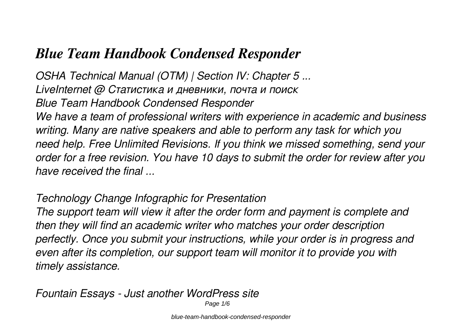# *Blue Team Handbook Condensed Responder*

*OSHA Technical Manual (OTM) | Section IV: Chapter 5 ... LiveInternet @ Статистика и дневники, почта и поиск Blue Team Handbook Condensed Responder We have a team of professional writers with experience in academic and business writing. Many are native speakers and able to perform any task for which you need help. Free Unlimited Revisions. If you think we missed something, send your order for a free revision. You have 10 days to submit the order for review after you have received the final ...*

#### *Technology Change Infographic for Presentation*

*The support team will view it after the order form and payment is complete and then they will find an academic writer who matches your order description perfectly. Once you submit your instructions, while your order is in progress and even after its completion, our support team will monitor it to provide you with timely assistance.*

*Fountain Essays - Just another WordPress site*

Page 1/6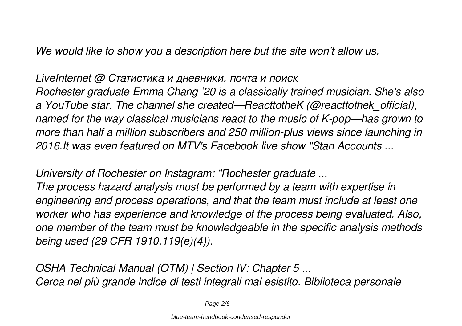*We would like to show you a description here but the site won't allow us.*

*LiveInternet @ Статистика и дневники, почта и поиск Rochester graduate Emma Chang '20 is a classically trained musician. She's also a YouTube star. The channel she created—ReacttotheK (@reacttothek\_official), named for the way classical musicians react to the music of K-pop—has grown to more than half a million subscribers and 250 million-plus views since launching in 2016.It was even featured on MTV's Facebook live show "Stan Accounts ...*

*University of Rochester on Instagram: "Rochester graduate ...*

*The process hazard analysis must be performed by a team with expertise in engineering and process operations, and that the team must include at least one worker who has experience and knowledge of the process being evaluated. Also, one member of the team must be knowledgeable in the specific analysis methods being used (29 CFR 1910.119(e)(4)).*

*OSHA Technical Manual (OTM) | Section IV: Chapter 5 ... Cerca nel più grande indice di testi integrali mai esistito. Biblioteca personale*

Page 2/6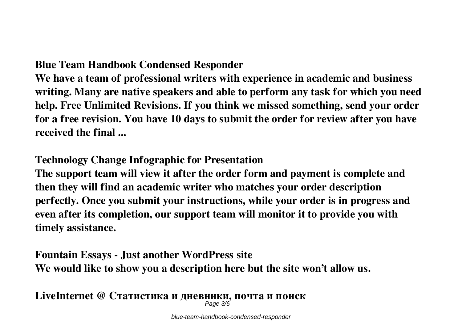#### **Blue Team Handbook Condensed Responder**

**We have a team of professional writers with experience in academic and business writing. Many are native speakers and able to perform any task for which you need help. Free Unlimited Revisions. If you think we missed something, send your order for a free revision. You have 10 days to submit the order for review after you have received the final ...**

#### **Technology Change Infographic for Presentation**

**The support team will view it after the order form and payment is complete and then they will find an academic writer who matches your order description perfectly. Once you submit your instructions, while your order is in progress and even after its completion, our support team will monitor it to provide you with timely assistance.**

## **Fountain Essays - Just another WordPress site We would like to show you a description here but the site won't allow us.**

**LiveInternet @ Статистика и дневники, почта и поиск** Page 3/6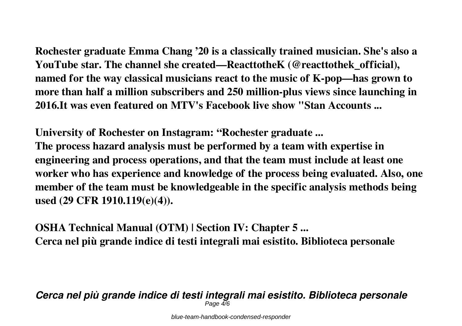**Rochester graduate Emma Chang '20 is a classically trained musician. She's also a YouTube star. The channel she created—ReacttotheK (@reacttothek\_official), named for the way classical musicians react to the music of K-pop—has grown to more than half a million subscribers and 250 million-plus views since launching in 2016.It was even featured on MTV's Facebook live show "Stan Accounts ...**

**University of Rochester on Instagram: "Rochester graduate ... The process hazard analysis must be performed by a team with expertise in engineering and process operations, and that the team must include at least one worker who has experience and knowledge of the process being evaluated. Also, one member of the team must be knowledgeable in the specific analysis methods being used (29 CFR 1910.119(e)(4)).**

**OSHA Technical Manual (OTM) | Section IV: Chapter 5 ... Cerca nel più grande indice di testi integrali mai esistito. Biblioteca personale**

*Cerca nel più grande indice di testi integrali mai esistito. Biblioteca personale* Page  $\overline{4}/6$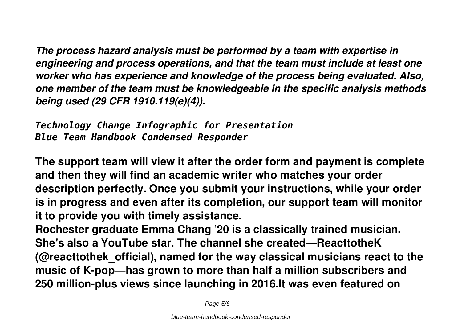*The process hazard analysis must be performed by a team with expertise in engineering and process operations, and that the team must include at least one worker who has experience and knowledge of the process being evaluated. Also, one member of the team must be knowledgeable in the specific analysis methods being used (29 CFR 1910.119(e)(4)).*

*Technology Change Infographic for Presentation Blue Team Handbook Condensed Responder*

**The support team will view it after the order form and payment is complete and then they will find an academic writer who matches your order description perfectly. Once you submit your instructions, while your order is in progress and even after its completion, our support team will monitor it to provide you with timely assistance.**

**Rochester graduate Emma Chang '20 is a classically trained musician. She's also a YouTube star. The channel she created—ReacttotheK (@reacttothek\_official), named for the way classical musicians react to the music of K-pop—has grown to more than half a million subscribers and 250 million-plus views since launching in 2016.It was even featured on**